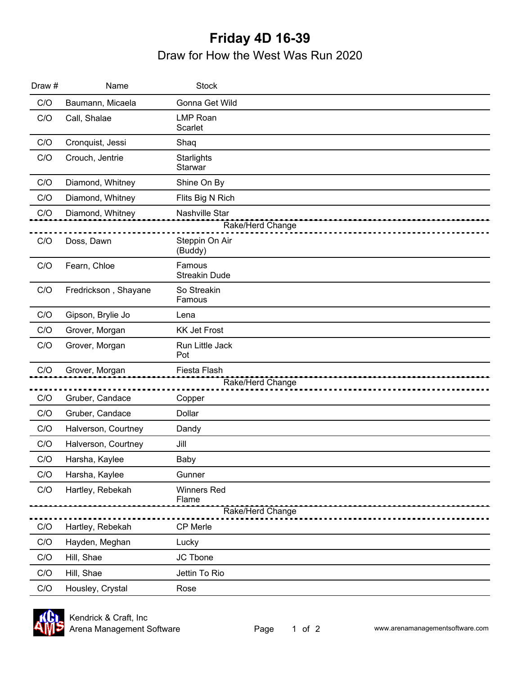## **Friday 4D 16-39** Draw for How the West Was Run 2020

| Draw # | Name                 | <b>Stock</b>                              |  |  |
|--------|----------------------|-------------------------------------------|--|--|
| C/O    | Baumann, Micaela     | Gonna Get Wild                            |  |  |
| C/O    | Call, Shalae         | <b>LMP Roan</b><br>Scarlet                |  |  |
| C/O    | Cronquist, Jessi     | Shaq                                      |  |  |
| C/O    | Crouch, Jentrie      | Starlights<br>Starwar                     |  |  |
| C/O    | Diamond, Whitney     | Shine On By                               |  |  |
| C/O    | Diamond, Whitney     | Flits Big N Rich                          |  |  |
| C/O    | Diamond, Whitney     | <b>Nashville Star</b><br>Rake/Herd Change |  |  |
| C/O    | Doss, Dawn           | Steppin On Air<br>(Buddy)                 |  |  |
| C/O    | Fearn, Chloe         | Famous<br><b>Streakin Dude</b>            |  |  |
| C/O    | Fredrickson, Shayane | So Streakin<br>Famous                     |  |  |
| C/O    | Gipson, Brylie Jo    | Lena                                      |  |  |
| C/O    | Grover, Morgan       | <b>KK Jet Frost</b>                       |  |  |
| C/O    | Grover, Morgan       | Run Little Jack<br>Pot                    |  |  |
| C/O    | Grover, Morgan       | Fiesta Flash<br>Rake/Herd Change          |  |  |
| C/O    | Gruber, Candace      | Copper                                    |  |  |
| C/O    | Gruber, Candace      | Dollar                                    |  |  |
| C/O    | Halverson, Courtney  | Dandy                                     |  |  |
| C/O    | Halverson, Courtney  | Jill                                      |  |  |
| C/O    | Harsha, Kaylee       | Baby                                      |  |  |
| C/O    | Harsha, Kaylee       | Gunner                                    |  |  |
| C/O    | Hartley, Rebekah     | <b>Winners Red</b><br>Flame               |  |  |
|        |                      | Rake/Herd Change                          |  |  |
| C/O    | Hartley, Rebekah     | CP Merle                                  |  |  |
| C/O    | Hayden, Meghan       | Lucky                                     |  |  |
| C/O    | Hill, Shae           | JC Tbone                                  |  |  |
| C/O    | Hill, Shae           | Jettin To Rio                             |  |  |
| C/O    | Housley, Crystal     | Rose                                      |  |  |